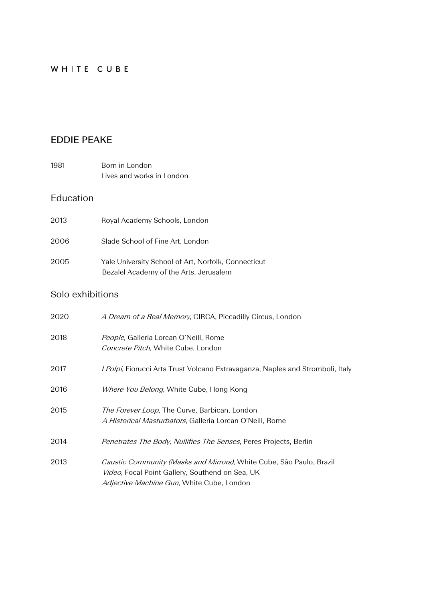## WHITE CUBE

# **EDDIE PEAKE**

| 1981 | Born in London            |
|------|---------------------------|
|      | Lives and works in London |

# Education

| 2013 | Royal Academy Schools, London                                                                 |
|------|-----------------------------------------------------------------------------------------------|
| 2006 | Slade School of Fine Art, London                                                              |
| 2005 | Yale University School of Art, Norfolk, Connecticut<br>Bezalel Academy of the Arts, Jerusalem |

## Solo exhibitions

| 2020 | A Dream of a Real Memory, CIRCA, Piccadilly Circus, London                                                                                                                           |
|------|--------------------------------------------------------------------------------------------------------------------------------------------------------------------------------------|
| 2018 | <i>People</i> , Galleria Lorcan O'Neill, Rome<br><i>Concrete Pitch</i> , White Cube, London                                                                                          |
| 2017 | <i>I Polpi</i> , Fiorucci Arts Trust Volcano Extravaganza, Naples and Stromboli, Italy                                                                                               |
| 2016 | <i>Where You Belong</i> , White Cube, Hong Kong                                                                                                                                      |
| 2015 | The Forever Loop, The Curve, Barbican, London<br><i>A Historical Masturbators</i> , Galleria Lorcan O'Neill, Rome                                                                    |
| 2014 | Penetrates The Body, Nullifies The Senses, Peres Projects, Berlin                                                                                                                    |
| 2013 | Caustic Community (Masks and Mirrors), White Cube, São Paulo, Brazil<br><i>Video</i> , Focal Point Gallery, Southend on Sea, UK<br><i>Adjective Machine Gun</i> , White Cube, London |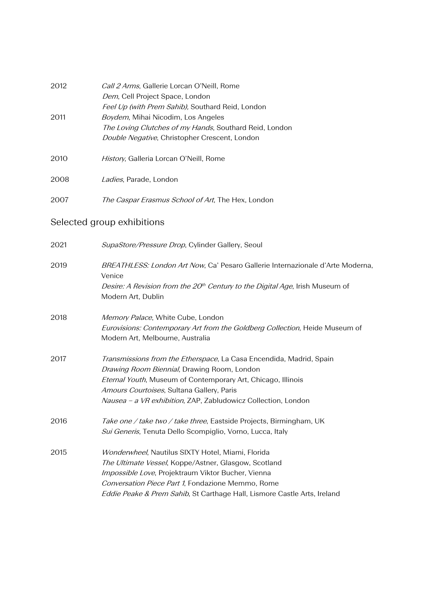| 2012 | Call 2 Arms, Gallerie Lorcan O'Neill, Rome                                               |
|------|------------------------------------------------------------------------------------------|
|      | Dem, Cell Project Space, London                                                          |
|      | Feel Up (with Prem Sahib), Southard Reid, London                                         |
| 2011 | Boydem, Mihai Nicodim, Los Angeles                                                       |
|      | The Loving Clutches of my Hands, Southard Reid, London                                   |
|      | Double Negative, Christopher Crescent, London                                            |
| 2010 | History, Galleria Lorcan O'Neill, Rome                                                   |
| 2008 | Ladies, Parade, London                                                                   |
| 2007 | The Caspar Erasmus School of Art, The Hex, London                                        |
|      | Selected group exhibitions                                                               |
| 2021 | SupaStore/Pressure Drop, Cylinder Gallery, Seoul                                         |
| 2019 | BREATHLESS: London Art Now, Ca' Pesaro Gallerie Internazionale d'Arte Moderna,<br>Venice |

| 2018 | <i>Memory Palace</i> , White Cube, London                                          |
|------|------------------------------------------------------------------------------------|
|      | <i>Eurovisions: Contemporary Art from the Goldberg Collection, Heide Museum of</i> |
|      | Modern Art. Melbourne. Australia                                                   |

Desire: A Revision from the 20<sup>th</sup> Century to the Digital Age, Irish Museum of

| 2017 | <i>Transmissions from the Etherspace</i> , La Casa Encendida, Madrid, Spain |
|------|-----------------------------------------------------------------------------|
|      | Drawing Room Biennial, Drawing Room, London                                 |
|      | <i>Eternal Youth</i> , Museum of Contemporary Art, Chicago, Illinois        |
|      | <i>Amours Courtoises</i> , Sultana Gallery, Paris                           |
|      | <i>Nausea – a VR exhibition</i> , ZAP, Zabludowicz Collection, London       |
|      |                                                                             |

Modern Art, Dublin

- 2016 Take one / take two / take three, Eastside Projects, Birmingham, UK Sui Generis, Tenuta Dello Scompiglio, Vorno, Lucca, Italy
- 2015 Wonderwheel, Nautilus SIXTY Hotel, Miami, Florida The Ultimate Vessel, Koppe/Astner, Glasgow, Scotland Impossible Love, Projektraum Viktor Bucher, Vienna Conversation Piece Part 1, Fondazione Memmo, Rome Eddie Peake & Prem Sahib, St Carthage Hall, Lismore Castle Arts, Ireland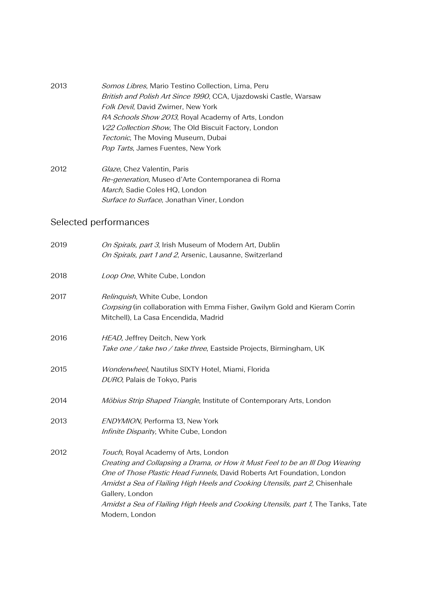| 2013 | <i>Somos Libres</i> , Mario Testino Collection, Lima, Peru        |
|------|-------------------------------------------------------------------|
|      | British and Polish Art Since 1990, CCA, Ujazdowski Castle, Warsaw |
|      | Folk Devil, David Zwirner, New York                               |
|      | <i>RA Schools Show 2013</i> , Royal Academy of Arts, London       |
|      | V22 Collection Show, The Old Biscuit Factory, London              |
|      | Tectonic, The Moving Museum, Dubai                                |
|      | Pop Tarts, James Fuentes, New York                                |
|      |                                                                   |

2012 Glaze, Chez Valentin, Paris Re-generation, Museo d'Arte Contemporanea di Roma March, Sadie Coles HQ, London Surface to Surface, Jonathan Viner, London

# Selected performances

| On Spirals, part 3, Irish Museum of Modern Art, Dublin<br>On Spirals, part 1 and 2, Arsenic, Lausanne, Switzerland                                                                                                                                                                                                                                                                                         |
|------------------------------------------------------------------------------------------------------------------------------------------------------------------------------------------------------------------------------------------------------------------------------------------------------------------------------------------------------------------------------------------------------------|
| Loop One, White Cube, London                                                                                                                                                                                                                                                                                                                                                                               |
| Relinquish, White Cube, London<br>Corpsing (in collaboration with Emma Fisher, Gwilym Gold and Kieram Corrin<br>Mitchell), La Casa Encendida, Madrid                                                                                                                                                                                                                                                       |
| HEAD, Jeffrey Deitch, New York<br>Take one / take two / take three, Eastside Projects, Birmingham, UK                                                                                                                                                                                                                                                                                                      |
| Wonderwheel, Nautilus SIXTY Hotel, Miami, Florida<br>DURO, Palais de Tokyo, Paris                                                                                                                                                                                                                                                                                                                          |
| Möbius Strip Shaped Triangle, Institute of Contemporary Arts, London                                                                                                                                                                                                                                                                                                                                       |
| ENDYMION, Performa 13, New York<br>Infinite Disparity, White Cube, London                                                                                                                                                                                                                                                                                                                                  |
| Touch, Royal Academy of Arts, London<br>Creating and Collapsing a Drama, or How it Must Feel to be an III Dog Wearing<br>One of Those Plastic Head Funnels, David Roberts Art Foundation, London<br>Amidst a Sea of Flailing High Heels and Cooking Utensils, part 2, Chisenhale<br>Gallery, London<br>Amidst a Sea of Flailing High Heels and Cooking Utensils, part 1, The Tanks, Tate<br>Modern, London |
|                                                                                                                                                                                                                                                                                                                                                                                                            |